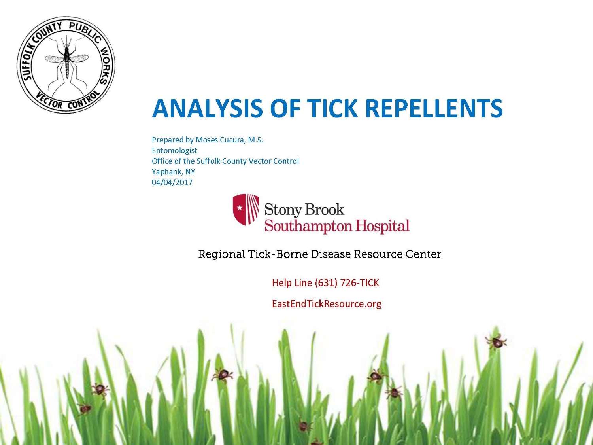

### **ANALYSIS OF TICK REPELLENTS**

Prepared by Moses Cucura, M.S. Entomologist Office of the Suffolk County Vector Control Yaphank, NY 04/04/2017



Regional Tick-Borne Disease Resource Center

Help Line (631) 726-TICK

EastEndTickResource.org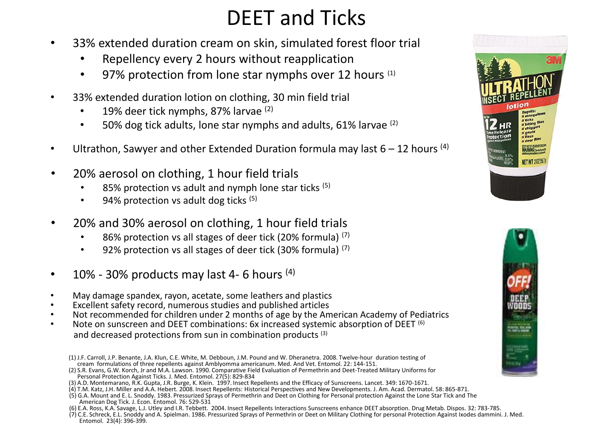#### DEET and Ticks

- 33% extended duration cream on skin, simulated forest floor trial
	- Repellency every 2 hours without reapplication
	- 97% protection from lone star nymphs over 12 hours (1)
- 33% extended duration lotion on clothing, 30 min field trial
	- 19% deer tick nymphs, 87% larvae (2)
	- 50% dog tick adults, lone star nymphs and adults, 61% larvae (2)
- Ultrathon, Sawyer and other Extended Duration formula may last  $6 12$  hours <sup>(4)</sup>
- 20% aerosol on clothing, 1 hour field trials
	- 85% protection vs adult and nymph lone star ticks (5)
	- $\cdot$  94% protection vs adult dog ticks  $(5)$
- 20% and 30% aerosol on clothing, 1 hour field trials
	- 86% protection vs all stages of deer tick (20% formula) (7)
	- 92% protection vs all stages of deer tick (30% formula) (7)
- 10% 30% products may last 4-6 hours  $(4)$
- May damage spandex, rayon, acetate, some leathers and plastics
- Excellent safety record, numerous studies and published articles
- Not recommended for children under 2 months of age by the American Academy of Pediatrics
- Note on sunscreen and DEET combinations: 6x increased systemic absorption of DEET (6) and decreased protections from sun in combination products (3)
	- (1) J.F. Carroll, J.P. Benante, J.A. Klun, C.E. White, M. Debboun, J.M. Pound and W. Dheranetra. 2008. Twelve-hour duration testing of cream formulations of three repellents against Amblyomma americanum. Med. And Vet. Entomol. 22: 144-151.

- (3) A.D. Montemarano, R.K. Gupta, J.R. Burge, K. Klein. 1997. Insect Repellents and the Efficacy of Sunscreens. Lancet. 349: 1670-1671.
- (4) T.M. Katz, J.H. Miller and A.A. Hebert. 2008. Insect Repellents: Historical Perspectives and New Developments. J. Am. Acad. Dermatol. 58: 865-871.
- (5) G.A. Mount and E. L. Snoddy. 1983. Pressurized Sprays of Permethrin and Deet on Clothing for Personal protection Against the Lone Star Tick and The American Dog Tick. J. Econ. Entomol. 76: 529-531
- (6) E.A. Ross, K.A. Savage, L.J. Utley and I.R. Tebbett. 2004. Insect Repellents Interactions Sunscreens enhance DEET absorption. Drug Metab. Dispos. 32: 783-785.

(7) C.E. Schreck, E.L. Snoddy and A. Spielman. 1986. Pressurized Sprays of Permethrin or Deet on Military Clothing for personal Protection Against Ixodes dammini. J. Med. Entomol. 23(4): 396-399.





<sup>(2)</sup> S.R. Evans, G.W. Korch, Jr and M.A. Lawson. 1990. Comparative Field Evaluation of Permethrin and Deet-Treated Military Uniforms for Personal Protection Against Ticks. J. Med. Entomol. 27(5): 829-834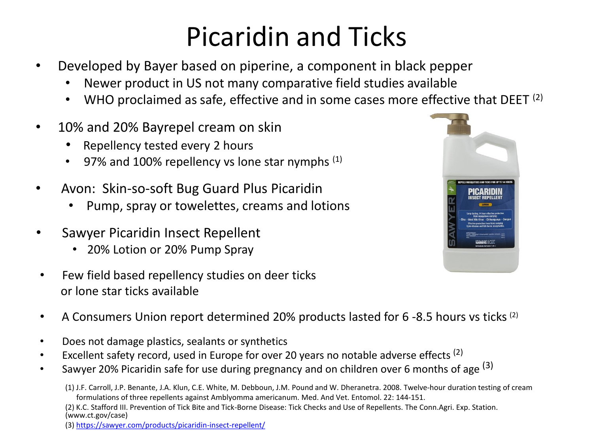## Picaridin and Ticks

- Developed by Bayer based on piperine, a component in black pepper
	- Newer product in US not many comparative field studies available
	- WHO proclaimed as safe, effective and in some cases more effective that DEET  $(2)$
- 10% and 20% Bayrepel cream on skin
	- Repellency tested every 2 hours
	- 97% and 100% repellency vs lone star nymphs  $(1)$
- Avon: Skin-so-soft Bug Guard Plus Picaridin
	- Pump, spray or towelettes, creams and lotions
- Sawyer Picaridin Insect Repellent
	- 20% Lotion or 20% Pump Spray
- Few field based repellency studies on deer ticks or lone star ticks available
- A Consumers Union report determined 20% products lasted for 6-8.5 hours vs ticks<sup>(2)</sup>
- Does not damage plastics, sealants or synthetics
- Excellent safety record, used in Europe for over 20 years no notable adverse effects  $(2)$
- Sawyer 20% Picaridin safe for use during pregnancy and on children over 6 months of age <sup>(3)</sup>

(2) K.C. Stafford III. Prevention of Tick Bite and Tick-Borne Disease: Tick Checks and Use of Repellents. The Conn.Agri. Exp. Station. (www.ct.gov/case)

(3) <https://sawyer.com/products/picaridin-insect-repellent/>



<sup>(1)</sup> J.F. Carroll, J.P. Benante, J.A. Klun, C.E. White, M. Debboun, J.M. Pound and W. Dheranetra. 2008. Twelve-hour duration testing of cream formulations of three repellents against Amblyomma americanum. Med. And Vet. Entomol. 22: 144-151.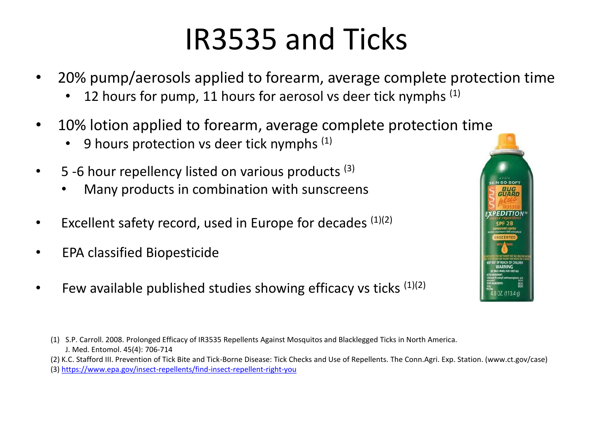## IR3535 and Ticks

- 20% pump/aerosols applied to forearm, average complete protection time
	- 12 hours for pump, 11 hours for aerosol vs deer tick nymphs (1)
- 10% lotion applied to forearm, average complete protection time
	- 9 hours protection vs deer tick nymphs  $(1)$
- $\bullet$  5 -6 hour repellency listed on various products  $(3)$ 
	- Many products in combination with sunscreens
- Excellent safety record, used in Europe for decades  $(1)(2)$
- EPA classified Biopesticide
- Few available published studies showing efficacy vs ticks  $(1)(2)$



(2) K.C. Stafford III. Prevention of Tick Bite and Tick-Borne Disease: Tick Checks and Use of Repellents. The Conn.Agri. Exp. Station. (www.ct.gov/case)



<sup>(3)</sup> <https://www.epa.gov/insect-repellents/find-insect-repellent-right-you>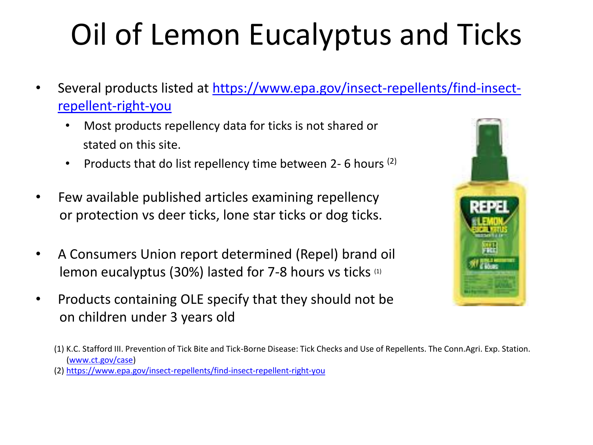# Oil of Lemon Eucalyptus and Ticks

- [Several products listed at https://www.epa.gov/insect-repellents/find-insect](https://www.epa.gov/insect-repellents/find-insect-repellent-right-you)repellent-right-you
	- Most products repellency data for ticks is not shared or stated on this site.
	- Products that do list repellency time between 2-6 hours  $(2)$
- Few available published articles examining repellency or protection vs deer ticks, lone star ticks or dog ticks.
- A Consumers Union report determined (Repel) brand oil lemon eucalyptus (30%) lasted for 7-8 hours vs ticks (1)
- Products containing OLE specify that they should not be on children under 3 years old



(2) <https://www.epa.gov/insect-repellents/find-insect-repellent-right-you>

<sup>(1)</sup> K.C. Stafford III. Prevention of Tick Bite and Tick-Borne Disease: Tick Checks and Use of Repellents. The Conn.Agri. Exp. Station. [\(www.ct.gov/case\)](http://www.ct.gov/case)